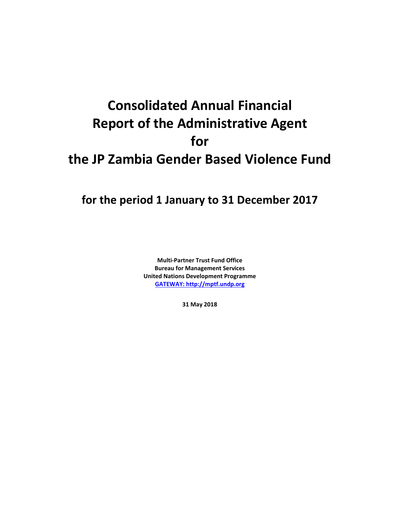# **Consolidated Annual Financial Report of the Administrative Agent for the JP Zambia Gender Based Violence Fund**

# **for the period 1 January to 31 December 2017**

**Multi-Partner Trust Fund Office Bureau for Management Services United Nations Development Programme [GATEWAY: http://mptf.undp.org](http://mptf.undp.org/)**

**31 May 2018**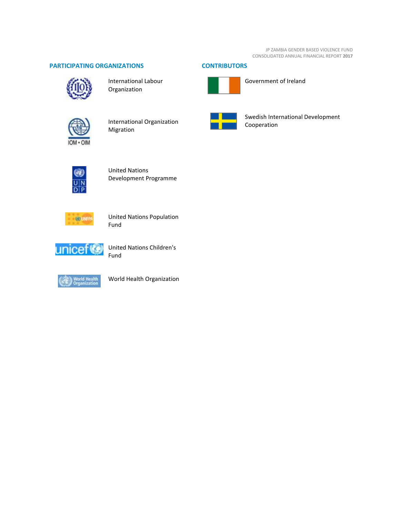JP ZAMBIA GENDER BASED VIOLENCE FUND CONSOLIDATED ANNUAL FINANCIAL REPORT **2017**

# **PARTICIPATING ORGANIZATIONS CONTRIBUTORS**



International Labour Organization





Government of Ireland



International Organization Migration



Swedish International Development Cooperation



United Nations Development Programme



United Nations Population Fund



United Nations Children's Fund



World Health Organization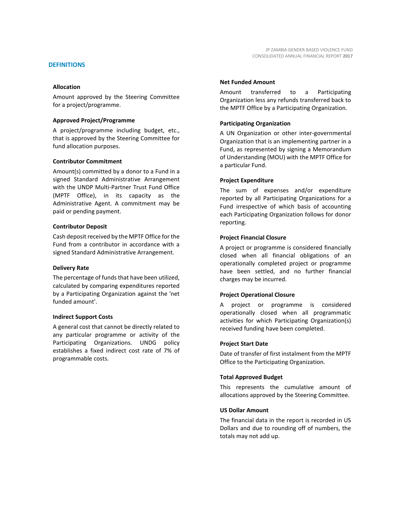# **DEFINITIONS**

#### **Allocation**

Amount approved by the Steering Committee for a project/programme.

#### **Approved Project/Programme**

A project/programme including budget, etc., that is approved by the Steering Committee for fund allocation purposes.

#### **Contributor Commitment**

Amount(s) committed by a donor to a Fund in a signed Standard Administrative Arrangement with the UNDP Multi-Partner Trust Fund Office (MPTF Office), in its capacity as the Administrative Agent. A commitment may be paid or pending payment.

#### **Contributor Deposit**

Cash deposit received by the MPTF Office for the Fund from a contributor in accordance with a signed Standard Administrative Arrangement.

#### **Delivery Rate**

The percentage of funds that have been utilized, calculated by comparing expenditures reported by a Participating Organization against the 'net funded amount'.

#### **Indirect Support Costs**

A general cost that cannot be directly related to any particular programme or activity of the Participating Organizations. UNDG policy establishes a fixed indirect cost rate of 7% of programmable costs.

#### **Net Funded Amount**

Amount transferred to a Participating Organization less any refunds transferred back to the MPTF Office by a Participating Organization.

#### **Participating Organization**

A UN Organization or other inter-governmental Organization that is an implementing partner in a Fund, as represented by signing a Memorandum of Understanding (MOU) with the MPTF Office for a particular Fund.

#### **Project Expenditure**

The sum of expenses and/or expenditure reported by all Participating Organizations for a Fund irrespective of which basis of accounting each Participating Organization follows for donor reporting.

#### **Project Financial Closure**

A project or programme is considered financially closed when all financial obligations of an operationally completed project or programme have been settled, and no further financial charges may be incurred.

#### **Project Operational Closure**

A project or programme is considered operationally closed when all programmatic activities for which Participating Organization(s) received funding have been completed.

#### **Project Start Date**

Date of transfer of first instalment from the MPTF Office to the Participating Organization.

#### **Total Approved Budget**

This represents the cumulative amount of allocations approved by the Steering Committee.

#### **US Dollar Amount**

The financial data in the report is recorded in US Dollars and due to rounding off of numbers, the totals may not add up.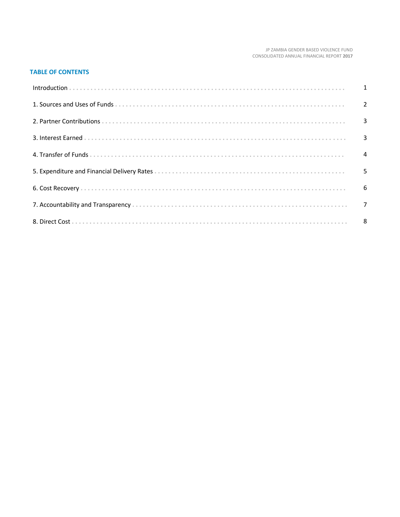#### JP ZAMBIA GENDER BASED VIOLENCE FUND CONSOLIDATED ANNUAL FINANCIAL REPORT 2017

# **TABLE OF CONTENTS**

| Introduction 1 1 |  |
|------------------|--|
|                  |  |
|                  |  |
|                  |  |
|                  |  |
|                  |  |
|                  |  |
|                  |  |
|                  |  |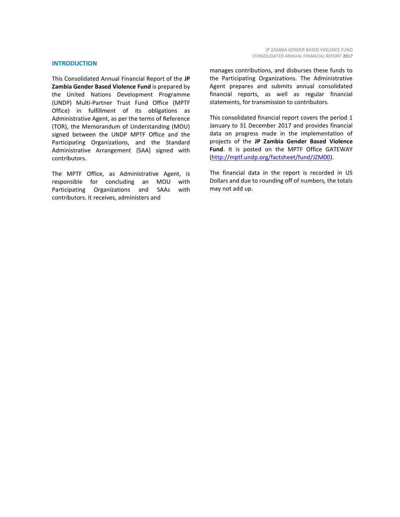#### **INTRODUCTION**

This Consolidated Annual Financial Report of the **JP Zambia Gender Based Violence Fund** is prepared by the United Nations Development Programme (UNDP) Multi-Partner Trust Fund Office (MPTF Office) in fulfillment of its obligations as Administrative Agent, as per the terms of Reference (TOR), the Memorandum of Understanding (MOU) signed between the UNDP MPTF Office and the Participating Organizations, and the Standard Administrative Arrangement (SAA) signed with contributors.

The MPTF Office, as Administrative Agent, is responsible for concluding an MOU with Participating Organizations and SAAs with contributors. It receives, administers and

manages contributions, and disburses these funds to the Participating Organizations. The Administrative Agent prepares and submits annual consolidated financial reports, as well as regular financial statements, for transmission to contributors.

This consolidated financial report covers the period 1 January to 31 December 2017 and provides financial data on progress made in the implementation of projects of the **JP Zambia Gender Based Violence Fund**. It is posted on the MPTF Office GATEWAY [\(http://mptf.undp.org/factsheet/fund/JZM00\)](http://mptf.undp.org/factsheet/fund/JZM00).

The financial data in the report is recorded in US Dollars and due to rounding off of numbers, the totals may not add up.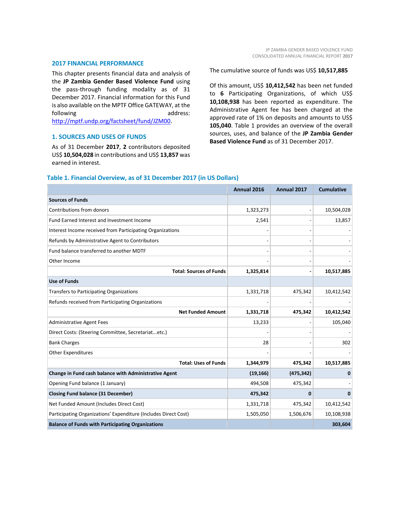#### **2017 FINANCIAL PERFORMANCE**

This chapter presents financial data and analysis of the **JP Zambia Gender Based Violence Fund** using the pass-through funding modality as of 31 December 2017. Financial information for this Fund is also available on the MPTF Office GATEWAY, at the following address: [http://mptf.undp.org/factsheet/fund/JZM00.](http://mptf.undp.org/factsheet/fund/JZM00)

# **1. SOURCES AND USES OF FUNDS**

As of 31 December **2017**, **2** contributors deposited US\$ **10,504,028** in contributions and US\$ **13,857** was earned in interest.

The cumulative source of funds was US\$ **10,517,885**

Of this amount, US\$ **10,412,542** has been net funded to **6** Participating Organizations, of which US\$ **10,108,938** has been reported as expenditure. The Administrative Agent fee has been charged at the approved rate of 1% on deposits and amounts to US\$ **105,040**. Table 1 provides an overview of the overall sources, uses, and balance of the **JP Zambia Gender Based Violence Fund** as of 31 December 2017.

|                                                                 | Annual 2016 | Annual 2017    | <b>Cumulative</b> |
|-----------------------------------------------------------------|-------------|----------------|-------------------|
| <b>Sources of Funds</b>                                         |             |                |                   |
| Contributions from donors                                       | 1,323,273   |                | 10,504,028        |
| Fund Earned Interest and Investment Income                      | 2,541       |                | 13,857            |
| Interest Income received from Participating Organizations       |             |                |                   |
| Refunds by Administrative Agent to Contributors                 |             |                |                   |
| Fund balance transferred to another MDTF                        |             |                |                   |
| Other Income                                                    |             |                |                   |
| <b>Total: Sources of Funds</b>                                  | 1,325,814   | $\blacksquare$ | 10,517,885        |
| <b>Use of Funds</b>                                             |             |                |                   |
| Transfers to Participating Organizations                        | 1,331,718   | 475,342        | 10,412,542        |
| Refunds received from Participating Organizations               |             |                |                   |
| <b>Net Funded Amount</b>                                        | 1,331,718   | 475,342        | 10,412,542        |
| <b>Administrative Agent Fees</b>                                | 13,233      |                | 105,040           |
| Direct Costs: (Steering Committee, Secretariatetc.)             |             |                |                   |
| <b>Bank Charges</b>                                             | 28          |                | 302               |
| <b>Other Expenditures</b>                                       |             |                |                   |
| <b>Total: Uses of Funds</b>                                     | 1,344,979   | 475,342        | 10,517,885        |
| Change in Fund cash balance with Administrative Agent           | (19, 166)   | (475, 342)     | $\mathbf{0}$      |
| Opening Fund balance (1 January)                                | 494,508     | 475,342        |                   |
| <b>Closing Fund balance (31 December)</b>                       | 475,342     | $\mathbf 0$    | $\Omega$          |
| Net Funded Amount (Includes Direct Cost)                        | 1,331,718   | 475,342        | 10,412,542        |
| Participating Organizations' Expenditure (Includes Direct Cost) | 1,505,050   | 1,506,676      | 10,108,938        |
| <b>Balance of Funds with Participating Organizations</b>        |             |                | 303,604           |

# **Table 1. Financial Overview, as of 31 December 2017 (in US Dollars)**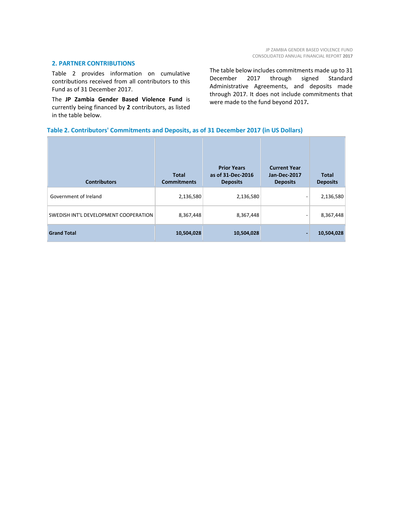#### **2. PARTNER CONTRIBUTIONS**

Table 2 provides information on cumulative contributions received from all contributors to this Fund as of 31 December 2017.

The **JP Zambia Gender Based Violence Fund** is currently being financed by **2** contributors, as listed in the table below.

The table below includes commitments made up to 31 December 2017 through signed Standard Administrative Agreements, and deposits made through 2017. It does not include commitments that were made to the fund beyond 2017**.**

# **Table 2. Contributors' Commitments and Deposits, as of 31 December 2017 (in US Dollars)**

| <b>Contributors</b>                   | <b>Total</b><br><b>Commitments</b> | <b>Prior Years</b><br>as of 31-Dec-2016<br><b>Deposits</b> | <b>Current Year</b><br><b>Jan-Dec-2017</b><br><b>Deposits</b> | <b>Total</b><br><b>Deposits</b> |
|---------------------------------------|------------------------------------|------------------------------------------------------------|---------------------------------------------------------------|---------------------------------|
| Government of Ireland                 | 2,136,580                          | 2,136,580                                                  |                                                               | 2,136,580                       |
| SWEDISH INT'L DEVELOPMENT COOPERATION | 8,367,448                          | 8,367,448                                                  | -                                                             | 8,367,448                       |
| <b>Grand Total</b>                    | 10,504,028                         | 10,504,028                                                 |                                                               | 10,504,028                      |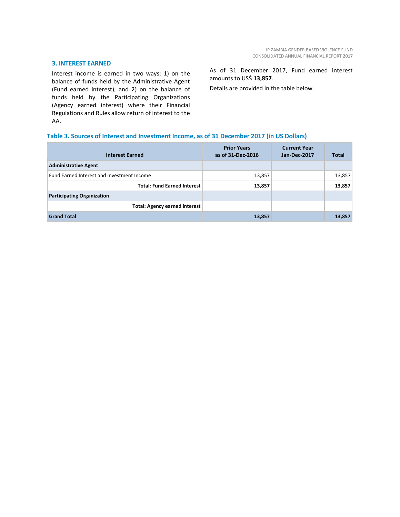#### **3. INTEREST EARNED**

Interest income is earned in two ways: 1) on the balance of funds held by the Administrative Agent (Fund earned interest), and 2) on the balance of funds held by the Participating Organizations (Agency earned interest) where their Financial Regulations and Rules allow return of interest to the AA.

As of 31 December 2017, Fund earned interest amounts to US\$ **13,857**.

Details are provided in the table below.

# **Table 3. Sources of Interest and Investment Income, as of 31 December 2017 (in US Dollars)**

| <b>Interest Earned</b>                     | <b>Prior Years</b><br>as of 31-Dec-2016 | <b>Current Year</b><br>Jan-Dec-2017 | <b>Total</b> |
|--------------------------------------------|-----------------------------------------|-------------------------------------|--------------|
| <b>Administrative Agent</b>                |                                         |                                     |              |
| Fund Earned Interest and Investment Income | 13,857                                  |                                     | 13,857       |
| <b>Total: Fund Earned Interest</b>         | 13,857                                  |                                     | 13,857       |
| <b>Participating Organization</b>          |                                         |                                     |              |
| <b>Total: Agency earned interest</b>       |                                         |                                     |              |
| <b>Grand Total</b>                         | 13,857                                  |                                     | 13,857       |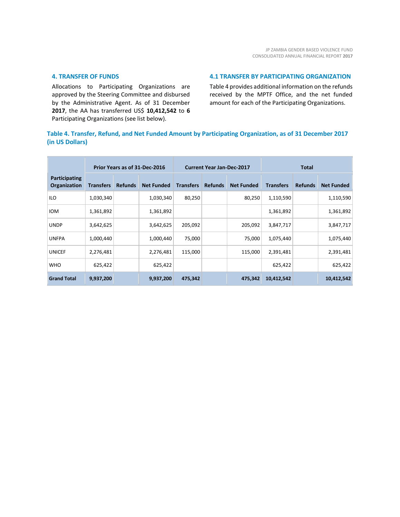# **4. TRANSFER OF FUNDS**

Allocations to Participating Organizations are approved by the Steering Committee and disbursed by the Administrative Agent. As of 31 December **2017**, the AA has transferred US\$ **10,412,542** to **6** Participating Organizations (see list below).

# **4.1 TRANSFER BY PARTICIPATING ORGANIZATION**

Table 4 provides additional information on the refunds received by the MPTF Office, and the net funded amount for each of the Participating Organizations.

# **Table 4. Transfer, Refund, and Net Funded Amount by Participating Organization, as of 31 December 2017 (in US Dollars)**

|                                      | Prior Years as of 31-Dec-2016 |                |                   | <b>Current Year Jan-Dec-2017</b> |                |                   | <b>Total</b>     |                |                   |
|--------------------------------------|-------------------------------|----------------|-------------------|----------------------------------|----------------|-------------------|------------------|----------------|-------------------|
| Participating<br><b>Organization</b> | <b>Transfers</b>              | <b>Refunds</b> | <b>Net Funded</b> | <b>Transfers</b>                 | <b>Refunds</b> | <b>Net Funded</b> | <b>Transfers</b> | <b>Refunds</b> | <b>Net Funded</b> |
| <b>ILO</b>                           | 1,030,340                     |                | 1,030,340         | 80,250                           |                | 80,250            | 1,110,590        |                | 1,110,590         |
| <b>IOM</b>                           | 1,361,892                     |                | 1,361,892         |                                  |                |                   | 1,361,892        |                | 1,361,892         |
| <b>UNDP</b>                          | 3,642,625                     |                | 3,642,625         | 205,092                          |                | 205,092           | 3,847,717        |                | 3,847,717         |
| <b>UNFPA</b>                         | 1,000,440                     |                | 1,000,440         | 75,000                           |                | 75,000            | 1,075,440        |                | 1,075,440         |
| <b>UNICEF</b>                        | 2,276,481                     |                | 2,276,481         | 115,000                          |                | 115,000           | 2,391,481        |                | 2,391,481         |
| <b>WHO</b>                           | 625,422                       |                | 625,422           |                                  |                |                   | 625,422          |                | 625,422           |
| <b>Grand Total</b>                   | 9,937,200                     |                | 9,937,200         | 475,342                          |                | 475,342           | 10,412,542       |                | 10,412,542        |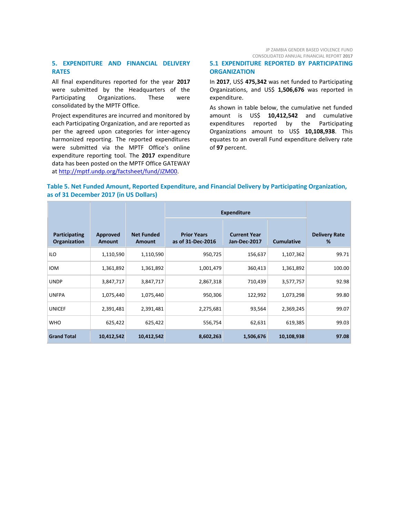JP ZAMBIA GENDER BASED VIOLENCE FUND CONSOLIDATED ANNUAL FINANCIAL REPORT **2017**

# **5. EXPENDITURE AND FINANCIAL DELIVERY RATES**

All final expenditures reported for the year **2017** were submitted by the Headquarters of the Participating Organizations. These were consolidated by the MPTF Office.

Project expenditures are incurred and monitored by each Participating Organization, and are reported as per the agreed upon categories for inter-agency harmonized reporting. The reported expenditures were submitted via the MPTF Office's online expenditure reporting tool. The **2017** expenditure data has been posted on the MPTF Office GATEWAY at [http://mptf.undp.org/factsheet/fund/JZM00.](http://mptf.undp.org/factsheet/fund/JZM00)

# **5.1 EXPENDITURE REPORTED BY PARTICIPATING ORGANIZATION**

In **2017**, US\$ **475,342** was net funded to Participating Organizations, and US\$ **1,506,676** was reported in expenditure.

As shown in table below, the cumulative net funded amount is US\$ **10,412,542** and cumulative expenditures reported by the Participating Organizations amount to US\$ **10,108,938**. This equates to an overall Fund expenditure delivery rate of **97** percent.

# **Table 5. Net Funded Amount, Reported Expenditure, and Financial Delivery by Participating Organization, as of 31 December 2017 (in US Dollars)**

|                                      |                           |                             | <b>Expenditure</b>                      |                                     |                   |                           |
|--------------------------------------|---------------------------|-----------------------------|-----------------------------------------|-------------------------------------|-------------------|---------------------------|
| <b>Participating</b><br>Organization | Approved<br><b>Amount</b> | <b>Net Funded</b><br>Amount | <b>Prior Years</b><br>as of 31-Dec-2016 | <b>Current Year</b><br>Jan-Dec-2017 | <b>Cumulative</b> | <b>Delivery Rate</b><br>% |
| ILO                                  | 1,110,590                 | 1,110,590                   | 950,725                                 | 156,637                             | 1,107,362         | 99.71                     |
| <b>IOM</b>                           | 1,361,892                 | 1,361,892                   | 1,001,479                               | 360,413                             | 1,361,892         | 100.00                    |
| <b>UNDP</b>                          | 3,847,717                 | 3,847,717                   | 2,867,318                               | 710,439                             | 3,577,757         | 92.98                     |
| <b>UNFPA</b>                         | 1,075,440                 | 1,075,440                   | 950,306                                 | 122,992                             | 1,073,298         | 99.80                     |
| <b>UNICEF</b>                        | 2,391,481                 | 2,391,481                   | 2,275,681                               | 93,564                              | 2,369,245         | 99.07                     |
| <b>WHO</b>                           | 625,422                   | 625,422                     | 556,754                                 | 62,631                              | 619,385           | 99.03                     |
| <b>Grand Total</b>                   | 10,412,542                | 10,412,542                  | 8,602,263                               | 1,506,676                           | 10,108,938        | 97.08                     |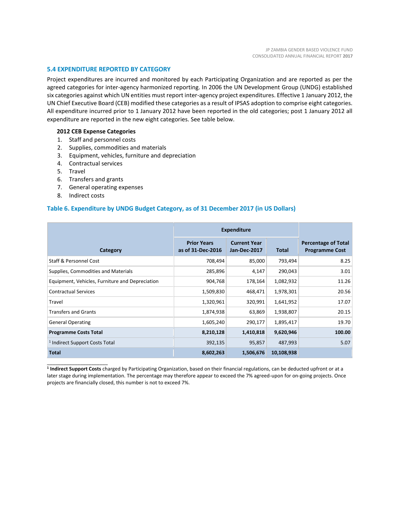# **5.4 EXPENDITURE REPORTED BY CATEGORY**

Project expenditures are incurred and monitored by each Participating Organization and are reported as per the agreed categories for inter-agency harmonized reporting. In 2006 the UN Development Group (UNDG) established six categories against which UN entities must report inter-agency project expenditures. Effective 1 January 2012, the UN Chief Executive Board (CEB) modified these categories as a result of IPSAS adoption to comprise eight categories. All expenditure incurred prior to 1 January 2012 have been reported in the old categories; post 1 January 2012 all expenditure are reported in the new eight categories. See table below.

#### **2012 CEB Expense Categories**

- 1. Staff and personnel costs
- 2. Supplies, commodities and materials
- 3. Equipment, vehicles, furniture and depreciation
- 4. Contractual services
- 5. Travel
- 6. Transfers and grants
- 7. General operating expenses
- 8. Indirect costs

\_\_\_\_\_\_\_\_\_\_\_\_\_\_\_\_\_\_\_\_\_\_

# **Table 6. Expenditure by UNDG Budget Category, as of 31 December 2017 (in US Dollars)**

|                                                 | <b>Expenditure</b>                      |                                     |            |                                                     |
|-------------------------------------------------|-----------------------------------------|-------------------------------------|------------|-----------------------------------------------------|
| Category                                        | <b>Prior Years</b><br>as of 31-Dec-2016 | <b>Current Year</b><br>Jan-Dec-2017 | Total      | <b>Percentage of Total</b><br><b>Programme Cost</b> |
| Staff & Personnel Cost                          | 708,494                                 | 85,000                              | 793,494    | 8.25                                                |
| Supplies, Commodities and Materials             | 285,896                                 | 4,147                               | 290,043    | 3.01                                                |
| Equipment, Vehicles, Furniture and Depreciation | 904,768                                 | 178,164                             | 1,082,932  | 11.26                                               |
| <b>Contractual Services</b>                     | 1,509,830                               | 468,471                             | 1,978,301  | 20.56                                               |
| Travel                                          | 1,320,961                               | 320,991                             | 1,641,952  | 17.07                                               |
| <b>Transfers and Grants</b>                     | 1,874,938                               | 63,869                              | 1,938,807  | 20.15                                               |
| <b>General Operating</b>                        | 1,605,240                               | 290,177                             | 1,895,417  | 19.70                                               |
| <b>Programme Costs Total</b>                    | 8,210,128                               | 1,410,818                           | 9,620,946  | 100.00                                              |
| <sup>1</sup> Indirect Support Costs Total       | 392,135                                 | 95,857                              | 487,993    | 5.07                                                |
| <b>Total</b>                                    | 8,602,263                               | 1,506,676                           | 10,108,938 |                                                     |

**1 Indirect Support Costs** charged by Participating Organization, based on their financial regulations, can be deducted upfront or at a later stage during implementation. The percentage may therefore appear to exceed the 7% agreed-upon for on-going projects. Once projects are financially closed, this number is not to exceed 7%.